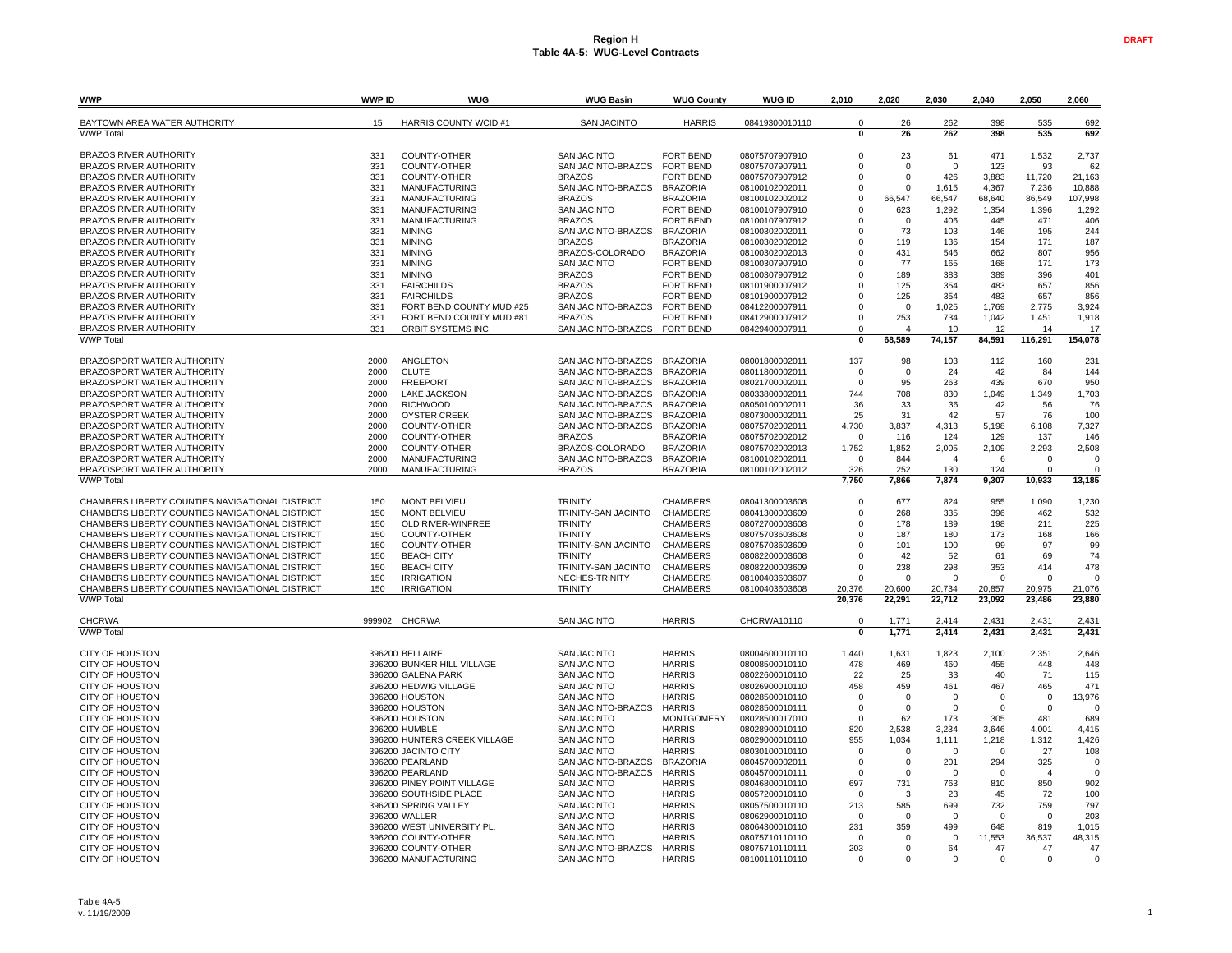| WWP                                                                                                | <b>WWP ID</b> | WUG                                           | <b>WUG Basin</b>                         | <b>WUG County</b>                    | <b>WUG ID</b>                    | 2,010                      | 2,020                | 2,030                   | 2,040           | 2,050                 | 2,060                |
|----------------------------------------------------------------------------------------------------|---------------|-----------------------------------------------|------------------------------------------|--------------------------------------|----------------------------------|----------------------------|----------------------|-------------------------|-----------------|-----------------------|----------------------|
| BAYTOWN AREA WATER AUTHORITY                                                                       | 15            | HARRIS COUNTY WCID #1                         | <b>SAN JACINTO</b>                       | <b>HARRIS</b>                        | 08419300010110                   | $\mathbf 0$                | 26                   | 262                     | 398             | 535                   | 692                  |
| <b>WWP Total</b>                                                                                   |               |                                               |                                          |                                      |                                  | $\mathbf{0}$               | 26                   | 262                     | 398             | 535                   | 692                  |
|                                                                                                    |               |                                               |                                          |                                      |                                  |                            |                      |                         |                 |                       |                      |
| <b>BRAZOS RIVER AUTHORITY</b><br><b>BRAZOS RIVER AUTHORITY</b>                                     | 331           | COUNTY-OTHER                                  | <b>SAN JACINTO</b><br>SAN JACINTO-BRAZOS | <b>FORT BEND</b>                     | 08075707907910                   | $\mathbf 0$                | 23<br>$\Omega$       | 61                      | 471             | 1,532                 | 2,737<br>62          |
| <b>BRAZOS RIVER AUTHORITY</b>                                                                      | 331<br>331    | COUNTY-OTHER<br>COUNTY-OTHER                  | <b>BRAZOS</b>                            | <b>FORT BEND</b><br><b>FORT BEND</b> | 08075707907911<br>08075707907912 | $\mathbf 0$<br>$\Omega$    | $\Omega$             | $\mathsf 0$<br>426      | 123<br>3,883    | 93<br>11,720          | 21,163               |
| <b>BRAZOS RIVER AUTHORITY</b>                                                                      | 331           | <b>MANUFACTURING</b>                          | SAN JACINTO-BRAZOS                       | <b>BRAZORIA</b>                      | 08100102002011                   | $\mathbf 0$                | $\Omega$             | 1,615                   | 4,367           | 7,236                 | 10,888               |
| <b>BRAZOS RIVER AUTHORITY</b>                                                                      | 331           | <b>MANUFACTURING</b>                          | <b>BRAZOS</b>                            | <b>BRAZORIA</b>                      | 08100102002012                   | $^{\circ}$                 | 66,547               | 66,547                  | 68,640          | 86,549                | 107,998              |
| <b>BRAZOS RIVER AUTHORITY</b>                                                                      | 331           | <b>MANUFACTURING</b>                          | <b>SAN JACINTO</b>                       | <b>FORT BEND</b>                     | 08100107907910                   | $\mathbf 0$                | 623                  | 1,292                   | 1,354           | 1,396                 | 1,292                |
| <b>BRAZOS RIVER AUTHORITY</b>                                                                      | 331           | <b>MANUFACTURING</b>                          | <b>BRAZOS</b>                            | <b>FORT BEND</b>                     | 08100107907912                   | $\mathbf 0$                | $\Omega$             | 406                     | 445             | 471                   | 406                  |
| <b>BRAZOS RIVER AUTHORITY</b>                                                                      | 331           | <b>MINING</b>                                 | SAN JACINTO-BRAZOS                       | <b>BRAZORIA</b>                      | 08100302002011                   | $\mathbf 0$                | 73                   | 103                     | 146             | 195                   | 244                  |
| <b>BRAZOS RIVER AUTHORITY</b>                                                                      | 331           | <b>MINING</b>                                 | <b>BRAZOS</b>                            | <b>BRAZORIA</b>                      | 08100302002012                   | $\Omega$                   | 119                  | 136                     | 154             | 171                   | 187                  |
| <b>BRAZOS RIVER AUTHORITY</b>                                                                      | 331           | <b>MINING</b>                                 | BRAZOS-COLORADO                          | <b>BRAZORIA</b>                      | 08100302002013                   | $\Omega$                   | 431                  | 546                     | 662             | 807                   | 956                  |
| <b>BRAZOS RIVER AUTHORITY</b>                                                                      | 331           | <b>MINING</b>                                 | <b>SAN JACINTO</b>                       | <b>FORT BEND</b>                     | 08100307907910                   | $\mathbf 0$                | 77                   | 165                     | 168             | 171                   | 173                  |
| <b>BRAZOS RIVER AUTHORITY</b><br><b>BRAZOS RIVER AUTHORITY</b>                                     | 331<br>331    | <b>MINING</b><br><b>FAIRCHILDS</b>            | <b>BRAZOS</b><br><b>BRAZOS</b>           | <b>FORT BEND</b><br><b>FORT BEND</b> | 08100307907912<br>08101900007912 | $\mathbf 0$<br>$\mathbf 0$ | 189<br>125           | 383<br>354              | 389<br>483      | 396<br>657            | 401<br>856           |
| <b>BRAZOS RIVER AUTHORITY</b>                                                                      | 331           | <b>FAIRCHILDS</b>                             | <b>BRAZOS</b>                            | <b>FORT BEND</b>                     | 08101900007912                   | $\mathbf 0$                | 125                  | 354                     | 483             | 657                   | 856                  |
| <b>BRAZOS RIVER AUTHORITY</b>                                                                      | 331           | FORT BEND COUNTY MUD #25                      | SAN JACINTO-BRAZOS                       | <b>FORT BEND</b>                     | 08412200007911                   | $\mathbf 0$                | $\Omega$             | 1,025                   | 1,769           | 2,775                 | 3,924                |
| <b>BRAZOS RIVER AUTHORITY</b>                                                                      | 331           | FORT BEND COUNTY MUD #81                      | <b>BRAZOS</b>                            | <b>FORT BEND</b>                     | 08412900007912                   | $\mathbf 0$                | 253                  | 734                     | 1,042           | 1,451                 | 1,918                |
| <b>BRAZOS RIVER AUTHORITY</b>                                                                      | 331           | ORBIT SYSTEMS INC                             | SAN JACINTO-BRAZOS                       | <b>FORT BEND</b>                     | 08429400007911                   | $\mathbf 0$                | $\overline{4}$       | 10                      | 12              | 14                    | 17                   |
| <b>WWP Total</b>                                                                                   |               |                                               |                                          |                                      |                                  | 0                          | 68,589               | 74,157                  | 84,591          | 116,291               | 154,078              |
| BRAZOSPORT WATER AUTHORITY                                                                         | 2000          | ANGLETON                                      | SAN JACINTO-BRAZOS                       | <b>BRAZORIA</b>                      |                                  |                            | 98                   |                         |                 |                       |                      |
| BRAZOSPORT WATER AUTHORITY                                                                         | 2000          | <b>CLUTE</b>                                  | SAN JACINTO-BRAZOS                       | <b>BRAZORIA</b>                      | 08001800002011<br>08011800002011 | 137<br>$\mathbf 0$         | $\Omega$             | 103<br>24               | 112<br>42       | 160<br>84             | 231<br>144           |
| BRAZOSPORT WATER AUTHORITY                                                                         | 2000          | <b>FREEPORT</b>                               | SAN JACINTO-BRAZOS                       | <b>BRAZORIA</b>                      | 08021700002011                   | $\Omega$                   | 95                   | 263                     | 439             | 670                   | 950                  |
| BRAZOSPORT WATER AUTHORITY                                                                         | 2000          | <b>LAKE JACKSON</b>                           | SAN JACINTO-BRAZOS                       | <b>BRAZORIA</b>                      | 08033800002011                   | 744                        | 708                  | 830                     | 1,049           | 1,349                 | 1,703                |
| BRAZOSPORT WATER AUTHORITY                                                                         | 2000          | <b>RICHWOOD</b>                               | SAN JACINTO-BRAZOS                       | <b>BRAZORIA</b>                      | 08050100002011                   | 36                         | 33                   | 36                      | 42              | 56                    | 76                   |
| BRAZOSPORT WATER AUTHORITY                                                                         | 2000          | OYSTER CREEK                                  | SAN JACINTO-BRAZOS                       | <b>BRAZORIA</b>                      | 08073000002011                   | 25                         | 31                   | 42                      | 57              | 76                    | 100                  |
| BRAZOSPORT WATER AUTHORITY                                                                         | 2000          | COUNTY-OTHER                                  | SAN JACINTO-BRAZOS                       | <b>BRAZORIA</b>                      | 08075702002011                   | 4,730                      | 3,837                | 4,313                   | 5,198           | 6,108                 | 7,327                |
| BRAZOSPORT WATER AUTHORITY                                                                         | 2000          | COUNTY-OTHER                                  | <b>BRAZOS</b>                            | <b>BRAZORIA</b>                      | 08075702002012                   | $\Omega$                   | 116                  | 124                     | 129             | 137                   | 146                  |
| BRAZOSPORT WATER AUTHORITY                                                                         | 2000          | COUNTY-OTHER                                  | BRAZOS-COLORADO                          | <b>BRAZORIA</b>                      | 08075702002013                   | 1,752                      | 1,852                | 2,005                   | 2,109           | 2,293                 | 2,508                |
| BRAZOSPORT WATER AUTHORITY                                                                         | 2000          | <b>MANUFACTURING</b>                          | SAN JACINTO-BRAZOS                       | <b>BRAZORIA</b>                      | 08100102002011                   | $\Omega$                   | 844                  | $\overline{\mathbf{4}}$ | 6               | $\Omega$              | $\Omega$             |
| BRAZOSPORT WATER AUTHORITY<br><b>WWP Total</b>                                                     | 2000          | MANUFACTURING                                 | <b>BRAZOS</b>                            | <b>BRAZORIA</b>                      | 08100102002012                   | 326<br>7,750               | 252<br>7,866         | 130<br>7,874            | 124<br>9,307    | $\Omega$<br>10,933    | $\Omega$<br>13,185   |
|                                                                                                    |               |                                               |                                          |                                      |                                  |                            |                      |                         |                 |                       |                      |
| CHAMBERS LIBERTY COUNTIES NAVIGATIONAL DISTRICT                                                    | 150           | <b>MONT BELVIEU</b>                           | <b>TRINITY</b>                           | <b>CHAMBERS</b>                      | 08041300003608                   | $\mathbf 0$                | 677                  | 824                     | 955             | 1.090                 | 1,230                |
| CHAMBERS LIBERTY COUNTIES NAVIGATIONAL DISTRICT                                                    | 150           | <b>MONT BELVIEU</b>                           | TRINITY-SAN JACINTO                      | <b>CHAMBERS</b>                      | 08041300003609                   | $\mathbf 0$                | 268                  | 335                     | 396             | 462                   | 532                  |
| CHAMBERS LIBERTY COUNTIES NAVIGATIONAL DISTRICT                                                    | 150           | OLD RIVER-WINFREE                             | <b>TRINITY</b>                           | <b>CHAMBERS</b>                      | 08072700003608                   | 0                          | 178                  | 189                     | 198             | 211                   | 225                  |
| CHAMBERS LIBERTY COUNTIES NAVIGATIONAL DISTRICT<br>CHAMBERS LIBERTY COUNTIES NAVIGATIONAL DISTRICT | 150<br>150    | COUNTY-OTHER<br>COUNTY-OTHER                  | <b>TRINITY</b><br>TRINITY-SAN JACINTO    | <b>CHAMBERS</b><br><b>CHAMBERS</b>   | 08075703603608<br>08075703603609 | $\Omega$<br>$\mathbf 0$    | 187<br>101           | 180<br>100              | 173<br>99       | 168<br>97             | 166<br>99            |
| CHAMBERS LIBERTY COUNTIES NAVIGATIONAL DISTRICT                                                    | 150           | <b>BEACH CITY</b>                             | <b>TRINITY</b>                           | <b>CHAMBERS</b>                      | 08082200003608                   | $\mathbf 0$                | 42                   | 52                      | 61              | 69                    | 74                   |
| CHAMBERS LIBERTY COUNTIES NAVIGATIONAL DISTRICT                                                    | 150           | <b>BEACH CITY</b>                             | TRINITY-SAN JACINTO                      | <b>CHAMBERS</b>                      | 08082200003609                   | $\Omega$                   | 238                  | 298                     | 353             | 414                   | 478                  |
| CHAMBERS LIBERTY COUNTIES NAVIGATIONAL DISTRICT                                                    | 150           | <b>IRRIGATION</b>                             | NECHES-TRINITY                           | <b>CHAMBERS</b>                      | 08100403603607                   | $\mathbf 0$                | $\Omega$             | $\Omega$                | 0               | $\Omega$              | $\Omega$             |
| CHAMBERS LIBERTY COUNTIES NAVIGATIONAL DISTRICT                                                    | 150           | <b>IRRIGATION</b>                             | <b>TRINITY</b>                           | <b>CHAMBERS</b>                      | 08100403603608                   | 20,376                     | 20,600               | 20,734                  | 20,857          | 20,975                | 21,076               |
| <b>WWP Total</b>                                                                                   |               |                                               |                                          |                                      |                                  | 20,376                     | 22,291               | 22,712                  | 23,092          | 23,486                | 23,880               |
| <b>CHCRWA</b>                                                                                      |               | 999902 CHCRWA                                 | <b>SAN JACINTO</b>                       | <b>HARRIS</b>                        | CHCRWA10110                      | $\Omega$                   | 1,771                | 2,414                   | 2,431           | 2,431                 | 2,431                |
| <b>WWP Total</b>                                                                                   |               |                                               |                                          |                                      |                                  | $\mathbf 0$                | 1,771                | 2,414                   | 2,431           | 2,431                 | 2,431                |
|                                                                                                    |               |                                               |                                          |                                      |                                  |                            |                      |                         |                 |                       |                      |
| <b>CITY OF HOUSTON</b><br>CITY OF HOUSTON                                                          |               | 396200 BELLAIRE<br>396200 BUNKER HILL VILLAGE | <b>SAN JACINTO</b><br><b>SAN JACINTO</b> | <b>HARRIS</b><br><b>HARRIS</b>       | 08004600010110<br>08008500010110 | 1,440<br>478               | 1,631<br>469         | 1,823<br>460            | 2.100<br>455    | 2,351<br>448          | 2.646<br>448         |
| CITY OF HOUSTON                                                                                    |               | 396200 GALENA PARK                            | <b>SAN JACINTO</b>                       | <b>HARRIS</b>                        | 08022600010110                   | 22                         | 25                   | 33                      | 40              | 71                    | 115                  |
| <b>CITY OF HOUSTON</b>                                                                             |               | 396200 HEDWIG VILLAGE                         | <b>SAN JACINTO</b>                       | <b>HARRIS</b>                        | 08026900010110                   | 458                        | 459                  | 461                     | 467             | 465                   | 471                  |
| <b>CITY OF HOUSTON</b>                                                                             |               | 396200 HOUSTON                                | <b>SAN JACINTO</b>                       | <b>HARRIS</b>                        | 08028500010110                   | $\mathbf 0$                | $\mathbf 0$          | $\mathbf 0$             | $^{\circ}$      | $\mathbf 0$           | 13,976               |
| CITY OF HOUSTON                                                                                    |               | 396200 HOUSTON                                | SAN JACINTO-BRAZOS                       | <b>HARRIS</b>                        | 08028500010111                   | $\mathbf 0$                | $\Omega$             | $\Omega$                | $\Omega$        | $\Omega$              |                      |
| CITY OF HOUSTON                                                                                    |               | 396200 HOUSTON                                | <b>SAN JACINTO</b>                       | <b>MONTGOMERY</b>                    | 08028500017010                   | $\Omega$                   | 62                   | 173                     | 305             | 481                   | 689                  |
| <b>CITY OF HOUSTON</b>                                                                             |               | 396200 HUMBLE                                 | <b>SAN JACINTO</b>                       | <b>HARRIS</b>                        | 08028900010110                   | 820                        | 2,538                | 3,234                   | 3,646           | 4,001                 | 4,415                |
| <b>CITY OF HOUSTON</b>                                                                             |               | 396200 HUNTERS CREEK VILLAGE                  | <b>SAN JACINTO</b>                       | <b>HARRIS</b>                        | 08029000010110                   | 955                        | 1,034                | 1,111                   | 1,218           | 1,312                 | 1,426                |
| <b>CITY OF HOUSTON</b>                                                                             |               | 396200 JACINTO CITY                           | <b>SAN JACINTO</b>                       | <b>HARRIS</b>                        | 08030100010110                   | $\mathbf 0$                | $\Omega$<br>$\Omega$ | $\mathbf 0$             | $\Omega$        | 27                    | 108                  |
| <b>CITY OF HOUSTON</b>                                                                             |               | 396200 PEARLAND                               | SAN JACINTO-BRAZOS                       | <b>BRAZORIA</b>                      | 08045700002011                   | $\mathbf 0$<br>$\mathbf 0$ | $\Omega$             | 201                     | 294             | 325                   | $\Omega$<br>$\Omega$ |
| <b>CITY OF HOUSTON</b><br><b>CITY OF HOUSTON</b>                                                   |               | 396200 PEARLAND<br>396200 PINEY POINT VILLAGE | SAN JACINTO-BRAZOS<br><b>SAN JACINTO</b> | <b>HARRIS</b><br><b>HARRIS</b>       | 08045700010111<br>08046800010110 | 697                        | 731                  | $\Omega$<br>763         | $\Omega$<br>810 | $\overline{4}$<br>850 | 902                  |
| <b>CITY OF HOUSTON</b>                                                                             |               | 396200 SOUTHSIDE PLACE                        | <b>SAN JACINTO</b>                       | <b>HARRIS</b>                        | 08057200010110                   | $\Omega$                   | 3                    | 23                      | 45              | 72                    | 100                  |
| <b>CITY OF HOUSTON</b>                                                                             |               | 396200 SPRING VALLEY                          | <b>SAN JACINTO</b>                       | <b>HARRIS</b>                        | 08057500010110                   | 213                        | 585                  | 699                     | 732             | 759                   | 797                  |
| CITY OF HOUSTON                                                                                    |               | 396200 WALLER                                 | <b>SAN JACINTO</b>                       | <b>HARRIS</b>                        | 08062900010110                   | $\Omega$                   | $\Omega$             | $\Omega$                | $\Omega$        | $\Omega$              | 203                  |
| <b>CITY OF HOUSTON</b>                                                                             |               | 396200 WEST UNIVERSITY PL.                    | <b>SAN JACINTO</b>                       | <b>HARRIS</b>                        | 08064300010110                   | 231                        | 359                  | 499                     | 648             | 819                   | 1,015                |
| <b>CITY OF HOUSTON</b>                                                                             |               | 396200 COUNTY-OTHER                           | <b>SAN JACINTO</b>                       | <b>HARRIS</b>                        | 08075710110110                   | $\mathbf 0$                | $\mathbf 0$          | 0                       | 11,553          | 36,537                | 48,315               |
| <b>CITY OF HOUSTON</b>                                                                             |               | 396200 COUNTY-OTHER                           | SAN JACINTO-BRAZOS                       | <b>HARRIS</b>                        | 08075710110111                   | 203                        | $\Omega$             | 64                      | 47              | 47                    | 47                   |
| <b>CITY OF HOUSTON</b>                                                                             |               | 396200 MANUFACTURING                          | <b>SAN JACINTO</b>                       | <b>HARRIS</b>                        | 08100110110110                   | $\Omega$                   | $\Omega$             | $\Omega$                | $\Omega$        | $\Omega$              | $\Omega$             |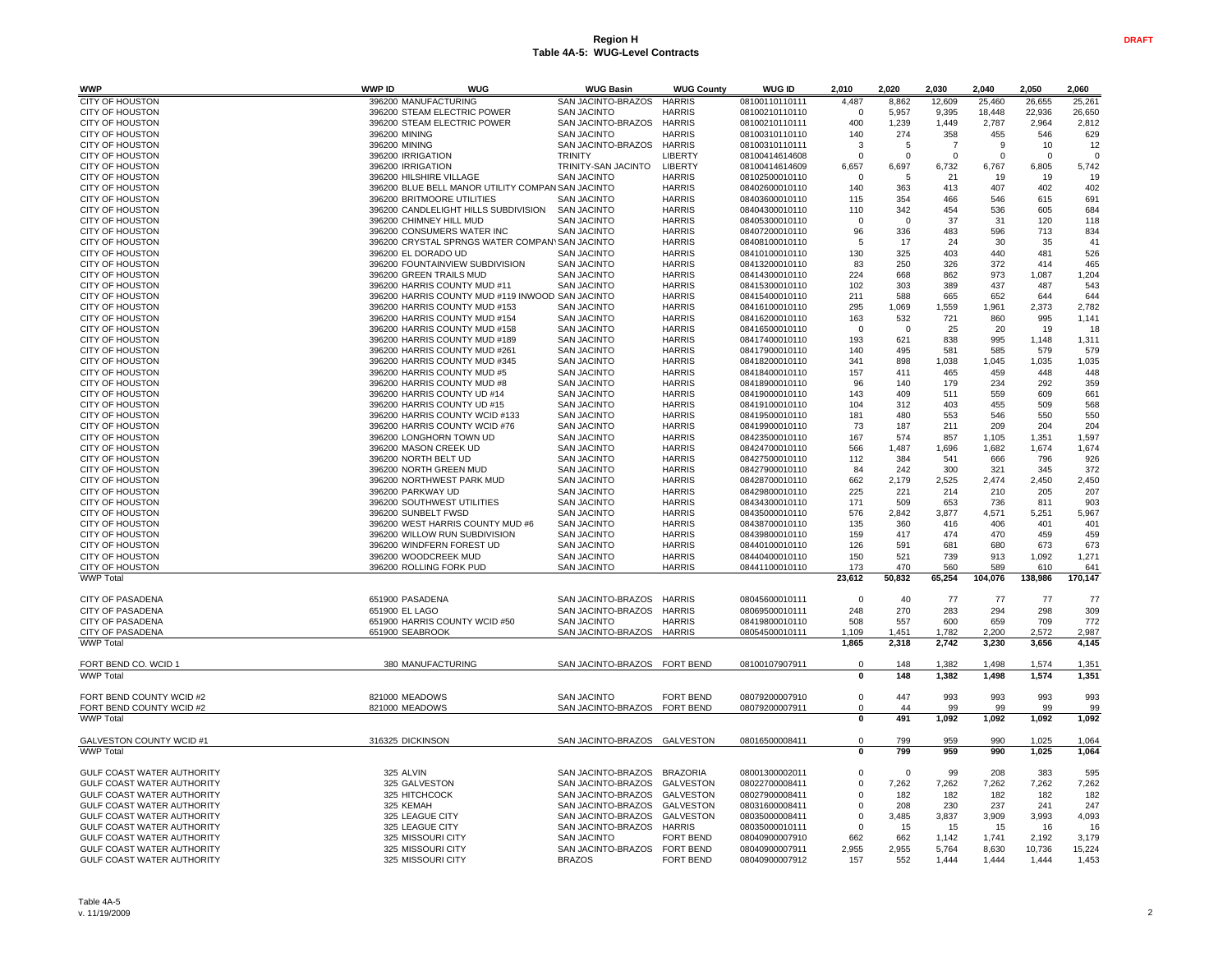| <b>WWP</b>                                               | <b>WWP ID</b> | <b>WUG</b>                                                                      | <b>WUG Basin</b>                         | <b>WUG County</b>                    | <b>WUG ID</b>                    | 2.010           | 2.020              | 2.030        | 2.040          | 2.050        | 2.060          |
|----------------------------------------------------------|---------------|---------------------------------------------------------------------------------|------------------------------------------|--------------------------------------|----------------------------------|-----------------|--------------------|--------------|----------------|--------------|----------------|
| CITY OF HOUSTON                                          |               | 396200 MANUFACTURING                                                            | SAN JACINTO-BRAZOS                       | <b>HARRIS</b>                        | 08100110110111                   | 4,487           | 8,862              | 12,609       | 25,460         | 26,655       | 25,261         |
| <b>CITY OF HOUSTON</b>                                   |               | 396200 STEAM ELECTRIC POWER                                                     | <b>SAN JACINTO</b>                       | <b>HARRIS</b>                        | 08100210110110                   | $\Omega$        | 5,957              | 9,395        | 18,448         | 22,936       | 26,650         |
| <b>CITY OF HOUSTON</b>                                   |               | 396200 STEAM ELECTRIC POWER                                                     | SAN JACINTO-BRAZOS                       | <b>HARRIS</b>                        | 08100210110111                   | 400             | 1,239              | 1,449        | 2,787          | 2,964        | 2,812          |
| CITY OF HOUSTON                                          |               | 396200 MINING                                                                   | <b>SAN JACINTO</b>                       | <b>HARRIS</b>                        | 08100310110110                   | 140             | 274                | 358          | 455            | 546          | 629            |
| CITY OF HOUSTON                                          |               | 396200 MINING                                                                   | SAN JACINTO-BRAZOS                       | <b>HARRIS</b>                        | 08100310110111                   | 3               | 5                  | -7           | 9              | 10           | 12             |
| CITY OF HOUSTON                                          |               | 396200 IRRIGATION                                                               | <b>TRINITY</b>                           | LIBERTY                              | 08100414614608                   | $\Omega$        | 0                  | $\Omega$     | $\Omega$       | $\Omega$     | $\Omega$       |
| CITY OF HOUSTON                                          |               | 396200 IRRIGATION                                                               | TRINITY-SAN JACINTO                      | LIBERTY                              | 08100414614609                   | 6,657           | 6,697              | 6,732        | 6,767          | 6,805        | 5,742          |
| CITY OF HOUSTON                                          |               | 396200 HILSHIRE VILLAGE                                                         | <b>SAN JACINTO</b>                       | <b>HARRIS</b>                        | 08102500010110                   | $^{\circ}$      | 5                  | 21           | 19             | 19           | 19             |
| <b>CITY OF HOUSTON</b><br><b>CITY OF HOUSTON</b>         |               | 396200 BLUE BELL MANOR UTILITY COMPAN SAN JACINTO<br>396200 BRITMOORE UTILITIES | <b>SAN JACINTO</b>                       | <b>HARRIS</b><br><b>HARRIS</b>       | 08402600010110<br>08403600010110 | 140<br>115      | 363<br>354         | 413<br>466   | 407<br>546     | 402<br>615   | 402<br>691     |
| <b>CITY OF HOUSTON</b>                                   |               | 396200 CANDLELIGHT HILLS SUBDIVISION                                            | <b>SAN JACINTO</b>                       | <b>HARRIS</b>                        | 08404300010110                   | 110             | 342                | 454          | 536            | 605          | 684            |
| <b>CITY OF HOUSTON</b>                                   |               | 396200 CHIMNEY HILL MUD                                                         | <b>SAN JACINTO</b>                       | <b>HARRIS</b>                        | 08405300010110                   | $\Omega$        | $\Omega$           | 37           | 31             | 120          | 118            |
| CITY OF HOUSTON                                          |               | 396200 CONSUMERS WATER INC                                                      | <b>SAN JACINTO</b>                       | <b>HARRIS</b>                        | 08407200010110                   | 96              | 336                | 483          | 596            | 713          | 834            |
| CITY OF HOUSTON                                          |               | 396200 CRYSTAL SPRNGS WATER COMPANYSAN JACINTO                                  |                                          | <b>HARRIS</b>                        | 08408100010110                   | 5               | 17                 | 24           | 30             | 35           | 41             |
| CITY OF HOUSTON                                          |               | 396200 EL DORADO UD                                                             | <b>SAN JACINTO</b>                       | <b>HARRIS</b>                        | 08410100010110                   | 130             | 325                | 403          | 440            | 481          | 526            |
| CITY OF HOUSTON                                          |               | 396200 FOUNTAINVIEW SUBDIVISION                                                 | <b>SAN JACINTO</b>                       | <b>HARRIS</b>                        | 08413200010110                   | 83              | 250                | 326          | 372            | 414          | 465            |
| CITY OF HOUSTON                                          |               | 396200 GREEN TRAILS MUD                                                         | <b>SAN JACINTO</b>                       | <b>HARRIS</b>                        | 08414300010110                   | 224             | 668                | 862          | 973            | 1,087        | 1,204          |
| <b>CITY OF HOUSTON</b>                                   |               | 396200 HARRIS COUNTY MUD #11                                                    | <b>SAN JACINTO</b>                       | <b>HARRIS</b>                        | 08415300010110                   | 102             | 303                | 389          | 437            | 487          | 543            |
| <b>CITY OF HOUSTON</b>                                   |               | 396200 HARRIS COUNTY MUD #119 INWOOD SAN JACINTO                                |                                          | <b>HARRIS</b>                        | 08415400010110                   | 211             | 588                | 665          | 652            | 644          | 644            |
| <b>CITY OF HOUSTON</b>                                   |               | 396200 HARRIS COUNTY MUD #153                                                   | <b>SAN JACINTO</b>                       | <b>HARRIS</b>                        | 08416100010110                   | 295             | 1,069              | 1,559        | 1,961          | 2,373        | 2,782          |
| <b>CITY OF HOUSTON</b><br><b>CITY OF HOUSTON</b>         |               | 396200 HARRIS COUNTY MUD #154<br>396200 HARRIS COUNTY MUD #158                  | <b>SAN JACINTO</b><br><b>SAN JACINTO</b> | <b>HARRIS</b><br><b>HARRIS</b>       | 08416200010110                   | 163<br>$\Omega$ | 532<br>$\mathbf 0$ | 721<br>25    | 860<br>20      | 995<br>19    | 1,141<br>18    |
| <b>CITY OF HOUSTON</b>                                   |               | 396200 HARRIS COUNTY MUD #189                                                   | <b>SAN JACINTO</b>                       | <b>HARRIS</b>                        | 08416500010110<br>08417400010110 | 193             | 621                | 838          | 995            | 1,148        | 1,311          |
| <b>CITY OF HOUSTON</b>                                   |               | 396200 HARRIS COUNTY MUD #261                                                   | <b>SAN JACINTO</b>                       | <b>HARRIS</b>                        | 08417900010110                   | 140             | 495                | 581          | 585            | 579          | 579            |
| <b>CITY OF HOUSTON</b>                                   |               | 396200 HARRIS COUNTY MUD #345                                                   | <b>SAN JACINTO</b>                       | <b>HARRIS</b>                        | 08418200010110                   | 341             | 898                | 1,038        | 1,045          | 1,035        | 1,035          |
| <b>CITY OF HOUSTON</b>                                   |               | 396200 HARRIS COUNTY MUD #5                                                     | <b>SAN JACINTO</b>                       | <b>HARRIS</b>                        | 08418400010110                   | 157             | 411                | 465          | 459            | 448          | 448            |
| <b>CITY OF HOUSTON</b>                                   |               | 396200 HARRIS COUNTY MUD #8                                                     | <b>SAN JACINTO</b>                       | <b>HARRIS</b>                        | 08418900010110                   | 96              | 140                | 179          | 234            | 292          | 359            |
| <b>CITY OF HOUSTON</b>                                   |               | 396200 HARRIS COUNTY UD #14                                                     | <b>SAN JACINTO</b>                       | <b>HARRIS</b>                        | 08419000010110                   | 143             | 409                | 511          | 559            | 609          | 661            |
| CITY OF HOUSTON                                          |               | 396200 HARRIS COUNTY UD #15                                                     | <b>SAN JACINTO</b>                       | <b>HARRIS</b>                        | 08419100010110                   | 104             | 312                | 403          | 455            | 509          | 568            |
| CITY OF HOUSTON                                          |               | 396200 HARRIS COUNTY WCID #133                                                  | <b>SAN JACINTO</b>                       | <b>HARRIS</b>                        | 08419500010110                   | 181             | 480                | 553          | 546            | 550          | 550            |
| CITY OF HOUSTON                                          |               | 396200 HARRIS COUNTY WCID #76                                                   | <b>SAN JACINTO</b>                       | <b>HARRIS</b>                        | 08419900010110                   | 73              | 187                | 211          | 209            | 204          | 204            |
| CITY OF HOUSTON                                          |               | 396200 LONGHORN TOWN UD                                                         | <b>SAN JACINTO</b>                       | <b>HARRIS</b>                        | 08423500010110                   | 167             | 574                | 857          | 1,105          | 1,351        | 1,597          |
| CITY OF HOUSTON<br><b>CITY OF HOUSTON</b>                |               | 396200 MASON CREEK UD<br>396200 NORTH BELT UD                                   | <b>SAN JACINTO</b>                       | <b>HARRIS</b>                        | 08424700010110                   | 566             | 1,487              | 1,696        | 1,682          | 1,674        | 1,674          |
| <b>CITY OF HOUSTON</b>                                   |               | 396200 NORTH GREEN MUD                                                          | <b>SAN JACINTO</b><br><b>SAN JACINTO</b> | <b>HARRIS</b><br><b>HARRIS</b>       | 08427500010110<br>08427900010110 | 112<br>84       | 384<br>242         | 541<br>300   | 666<br>321     | 796<br>345   | 926<br>372     |
| <b>CITY OF HOUSTON</b>                                   |               | 396200 NORTHWEST PARK MUD                                                       | <b>SAN JACINTO</b>                       | <b>HARRIS</b>                        | 08428700010110                   | 662             | 2,179              | 2,525        | 2.474          | 2,450        | 2,450          |
| <b>CITY OF HOUSTON</b>                                   |               | 396200 PARKWAY UD                                                               | <b>SAN JACINTO</b>                       | <b>HARRIS</b>                        | 08429800010110                   | 225             | 221                | 214          | 210            | 205          | 207            |
| <b>CITY OF HOUSTON</b>                                   |               | 396200 SOUTHWEST UTILITIES                                                      | <b>SAN JACINTO</b>                       | <b>HARRIS</b>                        | 08434300010110                   | 171             | 509                | 653          | 736            | 811          | 903            |
| <b>CITY OF HOUSTON</b>                                   |               | 396200 SUNBELT FWSD                                                             | <b>SAN JACINTO</b>                       | <b>HARRIS</b>                        | 08435000010110                   | 576             | 2,842              | 3,877        | 4,571          | 5,251        | 5,967          |
| <b>CITY OF HOUSTON</b>                                   |               | 396200 WEST HARRIS COUNTY MUD #6                                                | <b>SAN JACINTO</b>                       | <b>HARRIS</b>                        | 08438700010110                   | 135             | 360                | 416          | 406            | 401          | 401            |
| <b>CITY OF HOUSTON</b>                                   |               | 396200 WILLOW RUN SUBDIVISION                                                   | <b>SAN JACINTO</b>                       | <b>HARRIS</b>                        | 08439800010110                   | 159             | 417                | 474          | 470            | 459          | 459            |
| <b>CITY OF HOUSTON</b>                                   |               | 396200 WINDFERN FOREST UD                                                       | <b>SAN JACINTO</b>                       | <b>HARRIS</b>                        | 08440100010110                   | 126             | 591                | 681          | 680            | 673          | 673            |
| <b>CITY OF HOUSTON</b>                                   |               | 396200 WOODCREEK MUD                                                            | <b>SAN JACINTO</b>                       | <b>HARRIS</b>                        | 08440400010110                   | 150             | 521                | 739          | 913            | 1.092        | 1,271          |
| CITY OF HOUSTON<br><b>WWP Total</b>                      |               | 396200 ROLLING FORK PUD                                                         | <b>SAN JACINTO</b>                       | <b>HARRIS</b>                        | 08441100010110                   | 173             | 470                | 560          | 589<br>104.076 | 610          | 641<br>170.147 |
|                                                          |               |                                                                                 |                                          |                                      |                                  | 23,612          | 50,832             | 65,254       |                | 138,986      |                |
| CITY OF PASADENA                                         |               | 651900 PASADENA                                                                 | SAN JACINTO-BRAZOS                       | <b>HARRIS</b>                        | 08045600010111                   | $\Omega$        | 40                 | 77           | 77             | 77           | 77             |
| <b>CITY OF PASADENA</b>                                  |               | 651900 EL LAGO                                                                  | SAN JACINTO-BRAZOS                       | <b>HARRIS</b>                        | 08069500010111                   | 248             | 270                | 283          | 294            | 298          | 309            |
| <b>CITY OF PASADENA</b>                                  |               | 651900 HARRIS COUNTY WCID #50                                                   | <b>SAN JACINTO</b>                       | <b>HARRIS</b>                        | 08419800010110                   | 508             | 557                | 600          | 659            | 709          | 772            |
| <b>CITY OF PASADENA</b>                                  |               | 651900 SEABROOK                                                                 | SAN JACINTO-BRAZOS                       | <b>HARRIS</b>                        | 08054500010111                   | 1,109           | 1,451              | 1,782        | 2,200          | 2,572        | 2,987          |
| <b>WWP Total</b>                                         |               |                                                                                 |                                          |                                      |                                  | 1,865           | 2,318              | 2,742        | 3,230          | 3,656        | 4,145          |
|                                                          |               |                                                                                 |                                          |                                      |                                  |                 |                    |              |                |              |                |
| FORT BEND CO. WCID 1                                     |               | 380 MANUFACTURING                                                               | SAN JACINTO-BRAZOS FORT BEND             |                                      | 08100107907911                   | $\mathbf 0$     | 148                | 1,382        | 1,498          | 1,574        | 1,351          |
| <b>WWP Total</b>                                         |               |                                                                                 |                                          |                                      |                                  | 0               | 148                | 1,382        | 1,498          | 1,574        | 1,351          |
| FORT BEND COUNTY WCID #2                                 |               | 821000 MEADOWS                                                                  | <b>SAN JACINTO</b>                       | <b>FORT BEND</b>                     | 08079200007910                   | 0               | 447                | 993          | 993            | 993          | 993            |
| FORT BEND COUNTY WCID #2                                 |               | 821000 MEADOWS                                                                  | SAN JACINTO-BRAZOS                       | <b>FORT BEND</b>                     | 08079200007911                   | $\Omega$        | 44                 | 99           | 99             | 99           | 99             |
| <b>WWP Total</b>                                         |               |                                                                                 |                                          |                                      |                                  | 0               | 491                | 1,092        | 1,092          | 1,092        | 1,092          |
|                                                          |               |                                                                                 |                                          |                                      |                                  |                 |                    |              |                |              |                |
| GALVESTON COUNTY WCID #1                                 |               | 316325 DICKINSON                                                                | SAN JACINTO-BRAZOS GALVESTON             |                                      | 08016500008411                   | $\Omega$        | 799                | 959          | 990            | 1,025        | 1,064          |
| <b>WWP Total</b>                                         |               |                                                                                 |                                          |                                      |                                  | $\mathbf{0}$    | 799                | 959          | 990            | 1.025        | 1,064          |
|                                                          |               |                                                                                 |                                          |                                      |                                  |                 |                    |              |                |              |                |
| GULF COAST WATER AUTHORITY                               |               | 325 ALVIN                                                                       | SAN JACINTO-BRAZOS                       | <b>BRAZORIA</b>                      | 08001300002011                   | $\Omega$        | $\mathbf 0$        | 99           | 208            | 383          | 595            |
| GULF COAST WATER AUTHORITY                               |               | 325 GALVESTON                                                                   | SAN JACINTO-BRAZOS                       | <b>GALVESTON</b>                     | 08022700008411                   | 0               | 7,262              | 7,262        | 7,262          | 7,262        | 7,262          |
| GULF COAST WATER AUTHORITY                               |               | 325 HITCHCOCK                                                                   | SAN JACINTO-BRAZOS                       | <b>GALVESTON</b>                     | 08027900008411                   | 0               | 182                | 182          | 182<br>237     | 182          | 182<br>247     |
| GULF COAST WATER AUTHORITY<br>GULF COAST WATER AUTHORITY |               | 325 KEMAH<br>325 LEAGUE CITY                                                    | SAN JACINTO-BRAZOS<br>SAN JACINTO-BRAZOS | <b>GALVESTON</b><br><b>GALVESTON</b> | 08031600008411<br>08035000008411 | 0<br>0          | 208<br>3,485       | 230<br>3,837 | 3,909          | 241<br>3,993 | 4,093          |
| GULF COAST WATER AUTHORITY                               |               | 325 LEAGUE CITY                                                                 | SAN JACINTO-BRAZOS                       | <b>HARRIS</b>                        | 08035000010111                   | $\Omega$        | 15                 | 15           | 15             | 16           | 16             |
| GULF COAST WATER AUTHORITY                               |               | 325 MISSOURI CITY                                                               | <b>SAN JACINTO</b>                       | <b>FORT BEND</b>                     | 08040900007910                   | 662             | 662                | 1,142        | 1,741          | 2,192        | 3,179          |
| GULF COAST WATER AUTHORITY                               |               | 325 MISSOURI CITY                                                               | SAN JACINTO-BRAZOS                       | FORT BEND                            | 08040900007911                   | 2,955           | 2,955              | 5,764        | 8,630          | 10,736       | 15,224         |
| GULF COAST WATER AUTHORITY                               |               | 325 MISSOURI CITY                                                               | <b>BRAZOS</b>                            | <b>FORT BEND</b>                     | 08040900007912                   | 157             | 552                | 1,444        | 1,444          | 1,444        | 1,453          |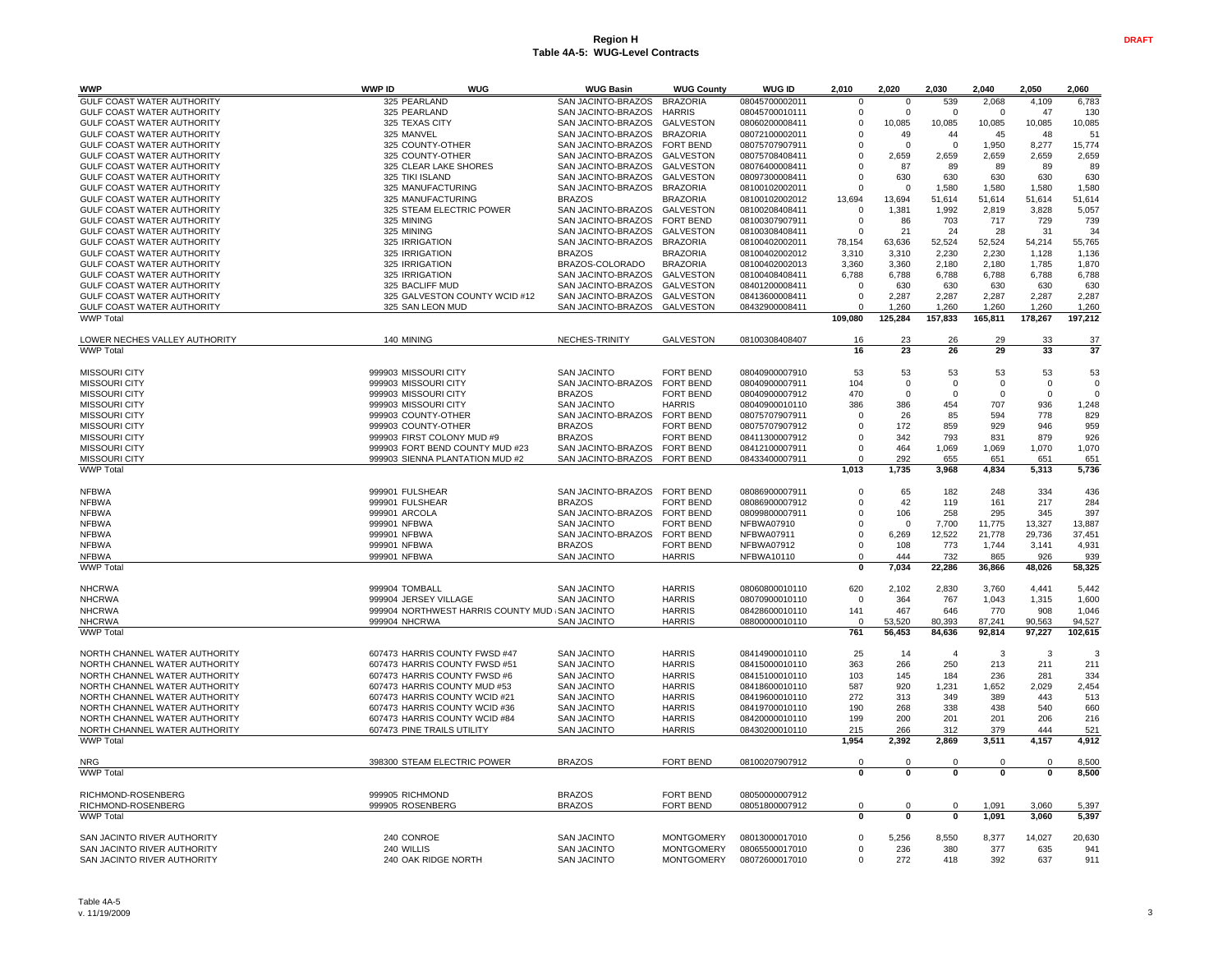| WWP                               | <b>WWP ID</b> | WUG                                              | WUG Basin          | <b>WUG County</b> | WUG ID            | 2,010                   | 2,020                   | 2,030                   | 2.040        | 2,050                   | 2,060       |
|-----------------------------------|---------------|--------------------------------------------------|--------------------|-------------------|-------------------|-------------------------|-------------------------|-------------------------|--------------|-------------------------|-------------|
| GULF COAST WATER AUTHORITY        |               | 325 PEARLAND                                     | SAN JACINTO-BRAZOS | <b>BRAZORIA</b>   | 08045700002011    | 0                       | $\Omega$                | 539                     | 2,068        | 4,109                   | 6,783       |
| GULF COAST WATER AUTHORITY        |               | 325 PEARLAND                                     | SAN JACINTO-BRAZOS | <b>HARRIS</b>     | 08045700010111    | $\Omega$                | $\Omega$                | $\Omega$                | $\Omega$     | 47                      | 130         |
| GULF COAST WATER AUTHORITY        |               | 325 TEXAS CITY                                   | SAN JACINTO-BRAZOS | <b>GALVESTON</b>  | 08060200008411    | 0                       | 10,085                  | 10,085                  | 10,085       | 10,085                  | 10,085      |
|                                   |               |                                                  |                    |                   |                   |                         |                         |                         |              |                         | 51          |
| GULF COAST WATER AUTHORITY        |               | 325 MANVEL                                       | SAN JACINTO-BRAZOS | <b>BRAZORIA</b>   | 08072100002011    | $\mathbf 0$             | 49                      | 44                      | 45           | 48                      |             |
| GULF COAST WATER AUTHORITY        |               | 325 COUNTY-OTHER                                 | SAN JACINTO-BRAZOS | <b>FORT BEND</b>  | 08075707907911    | $\overline{0}$          | $\Omega$                | $\Omega$                | 1,950        | 8,277                   | 15,774      |
| GULF COAST WATER AUTHORITY        |               | 325 COUNTY-OTHER                                 | SAN JACINTO-BRAZOS | <b>GALVESTON</b>  | 08075708408411    | $\mathbf 0$             | 2,659                   | 2,659                   | 2,659        | 2,659                   | 2,659       |
| <b>GULF COAST WATER AUTHORITY</b> |               | 325 CLEAR LAKE SHORES                            | SAN JACINTO-BRAZOS | <b>GALVESTON</b>  | 08076400008411    | $\Omega$                | 87                      | 89                      | 89           | 89                      | 89          |
| GULF COAST WATER AUTHORITY        |               | 325 TIKI ISLAND                                  | SAN JACINTO-BRAZOS | <b>GALVESTON</b>  | 08097300008411    | $^{\circ}$              | 630                     | 630                     | 630          | 630                     | 630         |
| GULF COAST WATER AUTHORITY        |               | 325 MANUFACTURING                                | SAN JACINTO-BRAZOS | <b>BRAZORIA</b>   | 08100102002011    | $^{\circ}$              | 0                       | 1,580                   | 1,580        | 1,580                   | 1,580       |
|                                   |               |                                                  |                    |                   |                   |                         |                         |                         |              |                         |             |
| GULF COAST WATER AUTHORITY        |               | 325 MANUFACTURING                                | <b>BRAZOS</b>      | <b>BRAZORIA</b>   | 08100102002012    | 13,694                  | 13,694                  | 51,614                  | 51,614       | 51,614                  | 51,614      |
| GULF COAST WATER AUTHORITY        |               | 325 STEAM ELECTRIC POWER                         | SAN JACINTO-BRAZOS | <b>GALVESTON</b>  | 08100208408411    | $\overline{0}$          | 1,381                   | 1,992                   | 2,819        | 3,828                   | 5,057       |
| GULF COAST WATER AUTHORITY        |               | 325 MINING                                       | SAN JACINTO-BRAZOS | <b>FORT BEND</b>  | 08100307907911    | $\overline{0}$          | 86                      | 703                     | 717          | 729                     | 739         |
| GULF COAST WATER AUTHORITY        |               | 325 MINING                                       | SAN JACINTO-BRAZOS | <b>GALVESTON</b>  | 08100308408411    | $\Omega$                | 21                      | 24                      | 28           | 31                      | 34          |
| GULF COAST WATER AUTHORITY        |               | 325 IRRIGATION                                   | SAN JACINTO-BRAZOS | <b>BRAZORIA</b>   | 08100402002011    | 78,154                  | 63,636                  | 52,524                  | 52,524       | 54,214                  | 55,765      |
| GULF COAST WATER AUTHORITY        |               | 325 IRRIGATION                                   | <b>BRAZOS</b>      | <b>BRAZORIA</b>   | 08100402002012    | 3,310                   | 3,310                   | 2,230                   | 2,230        | 1,128                   | 1,136       |
|                                   |               |                                                  |                    |                   |                   |                         |                         |                         |              |                         |             |
| GULF COAST WATER AUTHORITY        |               | 325 IRRIGATION                                   | BRAZOS-COLORADO    | <b>BRAZORIA</b>   | 08100402002013    | 3,360                   | 3,360                   | 2,180                   | 2,180        | 1,785                   | 1,870       |
| GULF COAST WATER AUTHORITY        |               | 325 IRRIGATION                                   | SAN JACINTO-BRAZOS | GALVESTON         | 08100408408411    | 6,788                   | 6,788                   | 6,788                   | 6,788        | 6,788                   | 6,788       |
| GULF COAST WATER AUTHORITY        |               | 325 BACLIFF MUD                                  | SAN JACINTO-BRAZOS | <b>GALVESTON</b>  | 08401200008411    | $\mathbf 0$             | 630                     | 630                     | 630          | 630                     | 630         |
| <b>GULF COAST WATER AUTHORITY</b> |               | 325 GALVESTON COUNTY WCID #12                    | SAN JACINTO-BRAZOS | <b>GALVESTON</b>  | 08413600008411    | $\mathbf 0$             | 2,287                   | 2,287                   | 2,287        | 2,287                   | 2,287       |
| GULF COAST WATER AUTHORITY        |               | 325 SAN LEON MUD                                 | SAN JACINTO-BRAZOS | <b>GALVESTON</b>  | 08432900008411    | $\Omega$                | 1,260                   | 1,260                   | 1,260        | 1,260                   | 1,260       |
| <b>WWP Total</b>                  |               |                                                  |                    |                   |                   | 109,080                 | 125,284                 | 157,833                 | 165,811      | 178,267                 | 197,212     |
|                                   |               |                                                  |                    |                   |                   |                         |                         |                         |              |                         |             |
| LOWER NECHES VALLEY AUTHORITY     |               | 140 MINING                                       | NECHES-TRINITY     | <b>GALVESTON</b>  | 08100308408407    | 16                      | 23                      | 26                      | 29           | 33                      | 37          |
| <b>WWP Total</b>                  |               |                                                  |                    |                   |                   | 16                      | 23                      | 26                      | 29           | 33                      | 37          |
|                                   |               |                                                  |                    |                   |                   |                         |                         |                         |              |                         |             |
| <b>MISSOURI CITY</b>              |               | 999903 MISSOURI CITY                             | <b>SAN JACINTO</b> | <b>FORT BEND</b>  | 08040900007910    | 53                      | 53                      | 53                      | 53           | 53                      | 53          |
| MISSOURI CITY                     |               | 999903 MISSOURI CITY                             | SAN JACINTO-BRAZOS | <b>FORT BEND</b>  | 08040900007911    | 104                     | $\mathbf 0$             | $\Omega$                | $^{\circ}$   | $\mathbf 0$             | $\mathbf 0$ |
|                                   |               |                                                  |                    |                   |                   |                         |                         |                         |              |                         |             |
| <b>MISSOURI CITY</b>              |               | 999903 MISSOURI CITY                             | <b>BRAZOS</b>      | <b>FORT BEND</b>  | 08040900007912    | 470                     | $\overline{0}$          | $\mathbf 0$             | $\mathsf 0$  | $\mathsf 0$             | 0           |
| MISSOURI CITY                     |               | 999903 MISSOURI CITY                             | <b>SAN JACINTO</b> | <b>HARRIS</b>     | 08040900010110    | 386                     | 386                     | 454                     | 707          | 936                     | 1,248       |
| <b>MISSOURI CITY</b>              |               | 999903 COUNTY-OTHER                              | SAN JACINTO-BRAZOS | <b>FORT BEND</b>  | 08075707907911    | $\overline{0}$          | 26                      | 85                      | 594          | 778                     | 829         |
| <b>MISSOURI CITY</b>              |               | 999903 COUNTY-OTHER                              | <b>BRAZOS</b>      | <b>FORT BEND</b>  | 08075707907912    | $\overline{0}$          | 172                     | 859                     | 929          | 946                     | 959         |
| <b>MISSOURI CITY</b>              |               | 999903 FIRST COLONY MUD #9                       | <b>BRAZOS</b>      | <b>FORT BEND</b>  | 08411300007912    | $\mathbf 0$             | 342                     | 793                     | 831          | 879                     | 926         |
|                                   |               |                                                  |                    |                   |                   |                         |                         |                         |              |                         |             |
| <b>MISSOURI CITY</b>              |               | 999903 FORT BEND COUNTY MUD #23                  | SAN JACINTO-BRAZOS | <b>FORT BEND</b>  | 08412100007911    | $\mathbf 0$             | 464                     | 1,069                   | 1,069        | 1,070                   | 1,070       |
| <b>MISSOURI CITY</b>              |               | 999903 SIENNA PLANTATION MUD #2                  | SAN JACINTO-BRAZOS | <b>FORT BEND</b>  | 08433400007911    | $\mathbf 0$             | 292                     | 655                     | 651          | 651                     | 651         |
| <b>WWP Total</b>                  |               |                                                  |                    |                   |                   | 1,013                   | 1,735                   | 3,968                   | 4,834        | 5,313                   | 5,736       |
|                                   |               |                                                  |                    |                   |                   |                         |                         |                         |              |                         |             |
| <b>NFBWA</b>                      |               | 999901 FULSHEAR                                  | SAN JACINTO-BRAZOS | <b>FORT BEND</b>  | 08086900007911    | $\overline{0}$          | 65                      | 182                     | 248          | 334                     | 436         |
| <b>NFBWA</b>                      |               | 999901 FULSHEAR                                  | <b>BRAZOS</b>      | <b>FORT BEND</b>  | 08086900007912    | $\Omega$                | 42                      | 119                     | 161          | 217                     | 284         |
| <b>NFBWA</b>                      | 999901 ARCOLA |                                                  | SAN JACINTO-BRAZOS | <b>FORT BEND</b>  | 08099800007911    | $\mathbf 0$             | 106                     | 258                     | 295          | 345                     | 397         |
|                                   |               |                                                  |                    |                   |                   |                         |                         |                         |              |                         |             |
| <b>NFBWA</b>                      | 999901 NFBWA  |                                                  | <b>SAN JACINTO</b> | <b>FORT BEND</b>  | NFBWA07910        | $\mathbf 0$             | $\mathbf 0$             | 7,700                   | 11,775       | 13,327                  | 13,887      |
| <b>NFBWA</b>                      | 999901 NFBWA  |                                                  | SAN JACINTO-BRAZOS | <b>FORT BEND</b>  | NFBWA07911        | $\overline{0}$          | 6,269                   | 12,522                  | 21,778       | 29,736                  | 37,451      |
| <b>NFBWA</b>                      | 999901 NFBWA  |                                                  | <b>BRAZOS</b>      | <b>FORT BEND</b>  | <b>NFBWA07912</b> | $\mathbf 0$             | 108                     | 773                     | 1,744        | 3,141                   | 4,931       |
| <b>NFBWA</b>                      | 999901 NFBWA  |                                                  | <b>SAN JACINTO</b> | <b>HARRIS</b>     | NFBWA10110        | $\mathbf 0$             | 444                     | 732                     | 865          | 926                     | 939         |
| <b>WWP Total</b>                  |               |                                                  |                    |                   |                   | $\mathbf 0$             | 7,034                   | 22,286                  | 36,866       | 48,026                  | 58,325      |
|                                   |               |                                                  |                    |                   |                   |                         |                         |                         |              |                         |             |
| <b>NHCRWA</b>                     |               | 999904 TOMBALL                                   | <b>SAN JACINTO</b> | <b>HARRIS</b>     | 08060800010110    | 620                     | 2,102                   | 2,830                   | 3,760        | 4,441                   | 5.442       |
| <b>NHCRWA</b>                     |               | 999904 JERSEY VILLAGE                            | <b>SAN JACINTO</b> | <b>HARRIS</b>     | 08070900010110    | $\overline{0}$          | 364                     | 767                     | 1,043        | 1,315                   | 1,600       |
| <b>NHCRWA</b>                     |               | 999904 NORTHWEST HARRIS COUNTY MUD : SAN JACINTO |                    | <b>HARRIS</b>     |                   | 141                     |                         | 646                     | 770          |                         |             |
|                                   |               |                                                  |                    |                   | 08428600010110    |                         | 467                     |                         |              | 908                     | 1,046       |
| <b>NHCRWA</b>                     |               | 999904 NHCRWA                                    | <b>SAN JACINTO</b> | <b>HARRIS</b>     | 08800000010110    | $\Omega$                | 53,520                  | 80,393                  | 87,241       | 90,563                  | 94,527      |
| <b>WWP</b> Tota                   |               |                                                  |                    |                   |                   | 761                     | 56,453                  | 84,636                  | 92,814       | 97,227                  | 102,615     |
|                                   |               |                                                  |                    |                   |                   |                         |                         |                         |              |                         |             |
| NORTH CHANNEL WATER AUTHORITY     |               | 607473 HARRIS COUNTY FWSD #47                    | <b>SAN JACINTO</b> | <b>HARRIS</b>     | 08414900010110    | 25                      | 14                      | $\overline{4}$          | 3            | 3                       | 3           |
| NORTH CHANNEL WATER AUTHORITY     |               | 607473 HARRIS COUNTY FWSD #51                    | <b>SAN JACINTO</b> | <b>HARRIS</b>     | 08415000010110    | 363                     | 266                     | 250                     | 213          | 211                     | 211         |
| NORTH CHANNEL WATER AUTHORITY     |               | 607473 HARRIS COUNTY FWSD #6                     | <b>SAN JACINTO</b> | <b>HARRIS</b>     | 08415100010110    | 103                     | 145                     | 184                     | 236          | 281                     | 334         |
| NORTH CHANNEL WATER AUTHORITY     |               | 607473 HARRIS COUNTY MUD #53                     | <b>SAN JACINTO</b> | <b>HARRIS</b>     | 08418600010110    | 587                     | 920                     | 1,231                   | 1,652        | 2,029                   | 2,454       |
| NORTH CHANNEL WATER AUTHORITY     |               |                                                  | <b>SAN JACINTO</b> | <b>HARRIS</b>     |                   | 272                     |                         | 349                     | 389          | 443                     | 513         |
|                                   |               | 607473 HARRIS COUNTY WCID #21                    |                    |                   | 08419600010110    |                         | 313                     |                         |              |                         |             |
| NORTH CHANNEL WATER AUTHORITY     |               | 607473 HARRIS COUNTY WCID #36                    | <b>SAN JACINTO</b> | <b>HARRIS</b>     | 08419700010110    | 190                     | 268                     | 338                     | 438          | 540                     | 660         |
| NORTH CHANNEL WATER AUTHORITY     |               | 607473 HARRIS COUNTY WCID #84                    | <b>SAN JACINTO</b> | <b>HARRIS</b>     | 08420000010110    | 199                     | 200                     | 201                     | 201          | 206                     | 216         |
| NORTH CHANNEL WATER AUTHORITY     |               | 607473 PINE TRAILS UTILITY                       | <b>SAN JACINTO</b> | <b>HARRIS</b>     | 08430200010110    | 215                     | 266                     | 312                     | 379          | 444                     | 521         |
| <b>WWP Total</b>                  |               |                                                  |                    |                   |                   | 1,954                   | 2,392                   | 2,869                   | 3,511        | 4,157                   | 4,912       |
|                                   |               |                                                  |                    |                   |                   |                         |                         |                         |              |                         |             |
| NRG                               |               | 398300 STEAM ELECTRIC POWER                      | <b>BRAZOS</b>      | FORT BEND         | 08100207907912    | $\Omega$                | $\Omega$                | $\Omega$                | $\Omega$     | $\Omega$                | 8,500       |
| <b>WWP Total</b>                  |               |                                                  |                    |                   |                   | $\overline{\mathbf{0}}$ | $\overline{\mathbf{0}}$ | $\overline{\mathbf{0}}$ | $\mathbf{0}$ | $\overline{\mathbf{0}}$ | 8,500       |
|                                   |               |                                                  |                    |                   |                   |                         |                         |                         |              |                         |             |
| RICHMOND-ROSENBERG                |               | 999905 RICHMOND                                  | <b>BRAZOS</b>      | <b>FORT BEND</b>  | 08050000007912    |                         |                         |                         |              |                         |             |
| RICHMOND-ROSENBERG                |               | 999905 ROSENBERG                                 | <b>BRAZOS</b>      | <b>FORT BEND</b>  | 08051800007912    | $\Omega$                | $\Omega$                | $\mathbf 0$             | 1,091        | 3.060                   | 5.397       |
| <b>WWP Total</b>                  |               |                                                  |                    |                   |                   | $\overline{\mathbf{0}}$ | $\overline{\mathbf{0}}$ | $\overline{\mathbf{0}}$ | 1,091        | 3,060                   | 5,397       |
|                                   |               |                                                  |                    |                   |                   |                         |                         |                         |              |                         |             |
| SAN JACINTO RIVER AUTHORITY       |               | 240 CONROE                                       | <b>SAN JACINTO</b> | <b>MONTGOMERY</b> | 08013000017010    | $\Omega$                | 5,256                   | 8,550                   | 8,377        | 14,027                  | 20,630      |
| SAN JACINTO RIVER AUTHORITY       |               | 240 WILLIS                                       | <b>SAN JACINTO</b> | <b>MONTGOMERY</b> | 08065500017010    | $\Omega$                | 236                     | 380                     | 377          | 635                     | 941         |
|                                   |               |                                                  |                    |                   |                   |                         |                         |                         |              |                         |             |
| SAN JACINTO RIVER AUTHORITY       |               | 240 OAK RIDGE NORTH                              | <b>SAN JACINTO</b> | <b>MONTGOMERY</b> | 08072600017010    | $\mathbf 0$             | 272                     | 418                     | 392          | 637                     | 911         |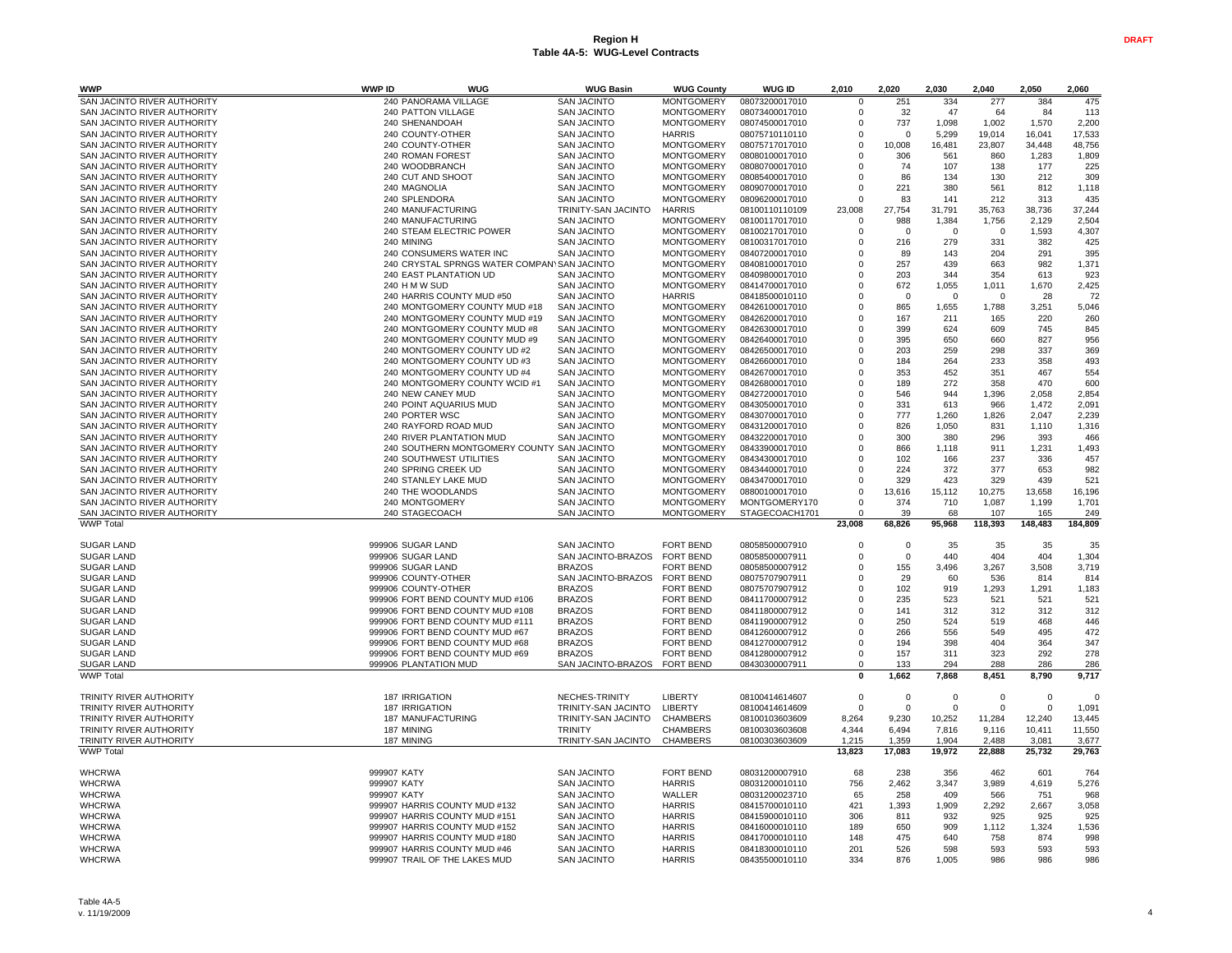| <b>WWP</b>                                                 | <b>WWP ID</b> | <b>WUG</b>                                                            | <b>WUG Basin</b>                         | <b>WUG County</b>                      | <b>WUG ID</b>                    | 2.010                   | 2.020         | 2.030                   | 2.040         | 2.050              | 2,060           |
|------------------------------------------------------------|---------------|-----------------------------------------------------------------------|------------------------------------------|----------------------------------------|----------------------------------|-------------------------|---------------|-------------------------|---------------|--------------------|-----------------|
| SAN JACINTO RIVER AUTHORITY                                |               | 240 PANORAMA VILLAGE                                                  | <b>SAN JACINTO</b>                       | <b>MONTGOMERY</b>                      | 08073200017010                   | $\Omega$                | 251           | 334                     | 277           | 384                | 475             |
| SAN JACINTO RIVER AUTHORITY                                |               | 240 PATTON VILLAGE                                                    | <b>SAN JACINTO</b>                       | <b>MONTGOMERY</b>                      | 08073400017010                   | $\Omega$                | 32            | 47                      | 64            | 84                 | 113             |
| SAN JACINTO RIVER AUTHORITY                                |               | 240 SHENANDOAH                                                        | <b>SAN JACINTO</b>                       | <b>MONTGOMERY</b>                      | 08074500017010                   | $\Omega$                | 737           | 1,098                   | 1,002         | 1,570              | 2,200           |
| SAN JACINTO RIVER AUTHORITY                                |               | 240 COUNTY-OTHER                                                      | <b>SAN JACINTO</b>                       | <b>HARRIS</b>                          | 08075710110110                   | $\Omega$                | $\Omega$      | 5,299                   | 19,014        | 16,041             | 17,533          |
| SAN JACINTO RIVER AUTHORITY<br>SAN JACINTO RIVER AUTHORITY |               | 240 COUNTY-OTHER<br>240 ROMAN FOREST                                  | <b>SAN JACINTO</b><br><b>SAN JACINTO</b> | <b>MONTGOMERY</b><br><b>MONTGOMERY</b> | 08075717017010<br>08080100017010 | $\mathbf 0$<br>$\Omega$ | 10,008<br>306 | 16,481<br>561           | 23,807<br>860 | 34,448<br>1,283    | 48,756<br>1,809 |
| SAN JACINTO RIVER AUTHORITY                                |               | 240 WOODBRANCH                                                        | <b>SAN JACINTO</b>                       | <b>MONTGOMERY</b>                      | 08080700017010                   | $\Omega$                | 74            | 107                     | 138           | 177                | 225             |
| SAN JACINTO RIVER AUTHORITY                                |               | 240 CUT AND SHOOT                                                     | <b>SAN JACINTO</b>                       | <b>MONTGOMERY</b>                      | 08085400017010                   | $\Omega$                | 86            | 134                     | 130           | 212                | 309             |
| SAN JACINTO RIVER AUTHORITY                                |               | 240 MAGNOLIA                                                          | <b>SAN JACINTO</b>                       | <b>MONTGOMERY</b>                      | 08090700017010                   | $\Omega$                | 221           | 380                     | 561           | 812                | 1,118           |
| SAN JACINTO RIVER AUTHORITY                                |               | 240 SPLENDORA                                                         | <b>SAN JACINTO</b>                       | <b>MONTGOMERY</b>                      | 08096200017010                   | $\Omega$                | 83            | 141                     | 212           | 313                | 435             |
| SAN JACINTO RIVER AUTHORITY                                |               | 240 MANUFACTURING                                                     | TRINITY-SAN JACINTO                      | <b>HARRIS</b>                          | 08100110110109                   | 23,008                  | 27,754        | 31,791                  | 35,763        | 38,736             | 37,244          |
| SAN JACINTO RIVER AUTHORITY                                |               | 240 MANUFACTURING                                                     | <b>SAN JACINTO</b>                       | <b>MONTGOMERY</b>                      | 08100117017010                   | 0                       | 988           | 1,384                   | 1,756         | 2,129              | 2,504           |
| SAN JACINTO RIVER AUTHORITY                                |               | 240 STEAM ELECTRIC POWER                                              | <b>SAN JACINTO</b>                       | <b>MONTGOMERY</b>                      | 08100217017010                   | 0                       | $\Omega$      | - 0                     | 0             | 1,593              | 4,307           |
| SAN JACINTO RIVER AUTHORITY                                |               | 240 MINING                                                            | <b>SAN JACINTO</b>                       | <b>MONTGOMERY</b>                      | 08100317017010                   | 0                       | 216           | 279                     | 331           | 382                | 425             |
| SAN JACINTO RIVER AUTHORITY                                |               | 240 CONSUMERS WATER INC                                               | <b>SAN JACINTO</b>                       | <b>MONTGOMERY</b>                      | 08407200017010                   | 0                       | -89           | 143                     | 204           | 291                | 395             |
| SAN JACINTO RIVER AUTHORITY<br>SAN JACINTO RIVER AUTHORITY |               | 240 CRYSTAL SPRNGS WATER COMPANYSAN JACINTO<br>240 EAST PLANTATION UD | <b>SAN JACINTO</b>                       | <b>MONTGOMERY</b><br><b>MONTGOMERY</b> | 08408100017010<br>08409800017010 | 0<br>0                  | 257<br>203    | 439<br>344              | 663<br>354    | 982<br>613         | 1,371<br>923    |
| SAN JACINTO RIVER AUTHORITY                                |               | 240 H M W SUD                                                         | <b>SAN JACINTO</b>                       | <b>MONTGOMERY</b>                      | 08414700017010                   | $\Omega$                | 672           | 1,055                   | 1,011         | 1,670              | 2,425           |
| SAN JACINTO RIVER AUTHORITY                                |               | 240 HARRIS COUNTY MUD #50                                             | <b>SAN JACINTO</b>                       | <b>HARRIS</b>                          | 08418500010110                   | $\Omega$                | $\Omega$      | $\Omega$                | $\Omega$      | 28                 | 72              |
| SAN JACINTO RIVER AUTHORITY                                |               | 240 MONTGOMERY COUNTY MUD #18                                         | <b>SAN JACINTO</b>                       | <b>MONTGOMERY</b>                      | 08426100017010                   | $\mathbf 0$             | 865           | 1,655                   | 1,788         | 3,251              | 5,046           |
| SAN JACINTO RIVER AUTHORITY                                |               | 240 MONTGOMERY COUNTY MUD #19                                         | <b>SAN JACINTO</b>                       | <b>MONTGOMERY</b>                      | 08426200017010                   | $\mathbf 0$             | 167           | 211                     | 165           | 220                | 260             |
| SAN JACINTO RIVER AUTHORITY                                |               | 240 MONTGOMERY COUNTY MUD #8                                          | <b>SAN JACINTO</b>                       | <b>MONTGOMERY</b>                      | 08426300017010                   | $\mathbf 0$             | 399           | 624                     | 609           | 745                | 845             |
| SAN JACINTO RIVER AUTHORITY                                |               | 240 MONTGOMERY COUNTY MUD #9                                          | <b>SAN JACINTO</b>                       | <b>MONTGOMERY</b>                      | 08426400017010                   | $\mathbf 0$             | 395           | 650                     | 660           | 827                | 956             |
| SAN JACINTO RIVER AUTHORITY                                |               | 240 MONTGOMERY COUNTY UD #2                                           | <b>SAN JACINTO</b>                       | <b>MONTGOMERY</b>                      | 08426500017010                   | $\mathbf 0$             | 203           | 259                     | 298           | 337                | 369             |
| SAN JACINTO RIVER AUTHORITY                                |               | 240 MONTGOMERY COUNTY UD #3                                           | <b>SAN JACINTO</b>                       | <b>MONTGOMERY</b>                      | 08426600017010                   | $\Omega$                | 184           | 264                     | 233           | 358                | 493             |
| SAN JACINTO RIVER AUTHORITY                                |               | 240 MONTGOMERY COUNTY UD #4                                           | <b>SAN JACINTO</b>                       | <b>MONTGOMERY</b>                      | 08426700017010                   | $\Omega$                | 353           | 452                     | 351           | 467                | 554             |
| SAN JACINTO RIVER AUTHORITY                                |               | 240 MONTGOMERY COUNTY WCID #1                                         | <b>SAN JACINTO</b>                       | <b>MONTGOMERY</b>                      | 08426800017010                   | $\Omega$<br>0           | 189<br>546    | 272<br>944              | 358           | 470                | 600             |
| SAN JACINTO RIVER AUTHORITY<br>SAN JACINTO RIVER AUTHORITY |               | 240 NEW CANEY MUD<br>240 POINT AQUARIUS MUD                           | <b>SAN JACINTO</b><br><b>SAN JACINTO</b> | <b>MONTGOMERY</b><br><b>MONTGOMERY</b> | 08427200017010<br>08430500017010 | 0                       | 331           | 613                     | 1,396<br>966  | 2,058<br>1,472     | 2,854<br>2,091  |
| SAN JACINTO RIVER AUTHORITY                                |               | 240 PORTER WSC                                                        | <b>SAN JACINTO</b>                       | <b>MONTGOMERY</b>                      | 08430700017010                   | $\mathbf 0$             | 777           | 1,260                   | 1,826         | 2,047              | 2,239           |
| SAN JACINTO RIVER AUTHORITY                                |               | 240 RAYFORD ROAD MUD                                                  | <b>SAN JACINTO</b>                       | <b>MONTGOMERY</b>                      | 08431200017010                   | $\mathbf 0$             | 826           | 1,050                   | 831           | 1,110              | 1,316           |
| SAN JACINTO RIVER AUTHORITY                                |               | 240 RIVER PLANTATION MUD                                              | <b>SAN JACINTO</b>                       | <b>MONTGOMERY</b>                      | 08432200017010                   | $\mathbf 0$             | 300           | 380                     | 296           | 393                | 466             |
| SAN JACINTO RIVER AUTHORITY                                |               | 240 SOUTHERN MONTGOMERY COUNTY SAN JACINTO                            |                                          | <b>MONTGOMERY</b>                      | 08433900017010                   | $\mathbf 0$             | 866           | 1,118                   | 911           | 1,231              | 1,493           |
| SAN JACINTO RIVER AUTHORITY                                |               | 240 SOUTHWEST UTILITIES                                               | <b>SAN JACINTO</b>                       | <b>MONTGOMERY</b>                      | 08434300017010                   | $\Omega$                | 102           | 166                     | 237           | 336                | 457             |
| SAN JACINTO RIVER AUTHORITY                                |               | 240 SPRING CREEK UD                                                   | <b>SAN JACINTO</b>                       | <b>MONTGOMERY</b>                      | 08434400017010                   | $\mathbf 0$             | 224           | 372                     | 377           | 653                | 982             |
| SAN JACINTO RIVER AUTHORITY                                |               | 240 STANLEY LAKE MUD                                                  | <b>SAN JACINTO</b>                       | <b>MONTGOMERY</b>                      | 08434700017010                   | $\mathbf 0$             | 329           | 423                     | 329           | 439                | 521             |
| SAN JACINTO RIVER AUTHORITY                                |               | 240 THE WOODLANDS                                                     | <b>SAN JACINTO</b>                       | <b>MONTGOMERY</b>                      | 08800100017010                   | $\mathbf 0$             | 13,616        | 15,112                  | 10,275        | 13,658             | 16,196          |
| SAN JACINTO RIVER AUTHORITY<br>SAN JACINTO RIVER AUTHORITY |               | 240 MONTGOMERY<br>240 STAGECOACH                                      | <b>SAN JACINTO</b><br><b>SAN JACINTO</b> | <b>MONTGOMERY</b><br><b>MONTGOMERY</b> | MONTGOMERY170<br>STAGECOACH1701  | $\mathbf 0$<br>$\Omega$ | 374<br>39     | 710<br>68               | 1,087<br>107  | 1,199<br>165       | 1,701<br>249    |
| <b>WWP Total</b>                                           |               |                                                                       |                                          |                                        |                                  | 23,008                  | 68,826        | 95,968                  | 118,393       | 148,483            | 184,809         |
|                                                            |               |                                                                       |                                          |                                        |                                  |                         |               |                         |               |                    |                 |
| <b>SUGAR LAND</b>                                          |               | 999906 SUGAR LAND                                                     | <b>SAN JACINTO</b>                       | <b>FORT BEND</b>                       | 08058500007910                   | $\Omega$                | $\Omega$      | 35                      | 35            | 35                 | 35              |
| <b>SUGAR LAND</b>                                          |               | 999906 SUGAR LAND                                                     | SAN JACINTO-BRAZOS                       | <b>FORT BEND</b>                       | 08058500007911                   | $\mathbf 0$             | $\Omega$      | 440                     | 404           | 404                | 1,304           |
| <b>SUGAR LAND</b>                                          |               | 999906 SUGAR LAND                                                     | <b>BRAZOS</b>                            | FORT BEND                              | 08058500007912                   | 0                       | 155           | 3,496                   | 3,267         | 3,508              | 3,719           |
| <b>SUGAR LAND</b>                                          |               | 999906 COUNTY-OTHER                                                   | SAN JACINTO-BRAZOS                       | <b>FORT BEND</b>                       | 08075707907911                   | 0                       | 29            | 60                      | 536           | 814                | 814             |
| <b>SUGAR LAND</b>                                          |               | 999906 COUNTY-OTHER                                                   | <b>BRAZOS</b>                            | <b>FORT BEND</b>                       | 08075707907912                   | $\Omega$                | 102           | 919                     | 1,293         | 1,291              | 1,183           |
| <b>SUGAR LAND</b><br><b>SUGAR LAND</b>                     |               | 999906 FORT BEND COUNTY MUD #106<br>999906 FORT BEND COUNTY MUD #108  | <b>BRAZOS</b><br><b>BRAZOS</b>           | <b>FORT BEND</b><br><b>FORT BEND</b>   | 08411700007912<br>08411800007912 | $\Omega$<br>$\Omega$    | 235<br>141    | 523<br>312              | 521<br>312    | 521<br>312         | 521<br>312      |
| <b>SUGAR LAND</b>                                          |               | 999906 FORT BEND COUNTY MUD #111                                      | <b>BRAZOS</b>                            | <b>FORT BEND</b>                       | 08411900007912                   | $\Omega$                | 250           | 524                     | 519           | 468                | 446             |
| <b>SUGAR LAND</b>                                          |               | 999906 FORT BEND COUNTY MUD #67                                       | <b>BRAZOS</b>                            | <b>FORT BEND</b>                       | 08412600007912                   | $\mathbf 0$             | 266           | 556                     | 549           | 495                | 472             |
| <b>SUGAR LAND</b>                                          |               | 999906 FORT BEND COUNTY MUD #68                                       | <b>BRAZOS</b>                            | <b>FORT BEND</b>                       | 08412700007912                   | $\mathbf 0$             | 194           | 398                     | 404           | 364                | 347             |
| <b>SUGAR LAND</b>                                          |               | 999906 FORT BEND COUNTY MUD #69                                       | <b>BRAZOS</b>                            | <b>FORT BEND</b>                       | 08412800007912                   | $\mathbf 0$             | 157           | 311                     | 323           | 292                | 278             |
| <b>SUGAR LAND</b>                                          |               | 999906 PLANTATION MUD                                                 | SAN JACINTO-BRAZOS FORT BEND             |                                        | 08430300007911                   | 0                       | 133           | 294                     | 288           | 286                | 286             |
| <b>WWP Total</b>                                           |               |                                                                       |                                          |                                        |                                  | $\overline{\mathbf{0}}$ | 1,662         | 7,868                   | 8,451         | 8,790              | 9,717           |
|                                                            |               |                                                                       |                                          |                                        |                                  |                         |               |                         |               |                    |                 |
| TRINITY RIVER AUTHORITY<br><b>TRINITY RIVER AUTHORITY</b>  |               | <b>187 IRRIGATION</b><br><b>187 IRRIGATION</b>                        | NECHES-TRINITY<br>TRINITY-SAN JACINTO    | <b>LIBERTY</b><br><b>LIBERTY</b>       | 08100414614607                   | 0<br>$\mathbf 0$        | 0<br>$\Omega$ | $\mathbf 0$<br>$\Omega$ | 0<br>$\Omega$ | 0                  | $\mathsf{C}$    |
| TRINITY RIVER AUTHORITY                                    |               | 187 MANUFACTURING                                                     | TRINITY-SAN JACINTO                      | <b>CHAMBERS</b>                        | 08100414614609<br>08100103603609 | 8,264                   | 9,230         | 10,252                  | 11,284        | $\Omega$<br>12,240 | 1,091<br>13,445 |
| TRINITY RIVER AUTHORITY                                    |               | 187 MINING                                                            | <b>TRINITY</b>                           | <b>CHAMBERS</b>                        | 08100303603608                   | 4,344                   | 6,494         | 7,816                   | 9,116         | 10,411             | 11,550          |
| TRINITY RIVER AUTHORITY                                    |               | 187 MINING                                                            | TRINITY-SAN JACINTO                      | <b>CHAMBERS</b>                        | 08100303603609                   | 1,215                   | 1,359         | 1,904                   | 2,488         | 3,081              | 3,677           |
| <b>WWP Total</b>                                           |               |                                                                       |                                          |                                        |                                  | 13,823                  | 17,083        | 19,972                  | 22,888        | 25,732             | 29,763          |
|                                                            |               |                                                                       |                                          |                                        |                                  |                         |               |                         |               |                    |                 |
| <b>WHCRWA</b>                                              | 999907 KATY   |                                                                       | <b>SAN JACINTO</b>                       | <b>FORT BEND</b>                       | 08031200007910                   | 68                      | 238           | 356                     | 462           | 601                | 764             |
| <b>WHCRWA</b>                                              | 999907 KATY   |                                                                       | <b>SAN JACINTO</b>                       | <b>HARRIS</b>                          | 08031200010110                   | 756                     | 2.462         | 3.347                   | 3.989         | 4.619              | 5.276           |
| <b>WHCRWA</b>                                              | 999907 KATY   |                                                                       | <b>SAN JACINTO</b>                       | WALLER                                 | 08031200023710                   | 65                      | 258           | 409                     | 566           | 751                | 968             |
| <b>WHCRWA</b><br><b>WHCRWA</b>                             |               | 999907 HARRIS COUNTY MUD #132<br>999907 HARRIS COUNTY MUD #151        | <b>SAN JACINTO</b><br><b>SAN JACINTO</b> | <b>HARRIS</b><br><b>HARRIS</b>         | 08415700010110<br>08415900010110 | 421<br>306              | 1,393<br>811  | 1,909<br>932            | 2,292<br>925  | 2,667<br>925       | 3,058<br>925    |
| <b>WHCRWA</b>                                              |               | 999907 HARRIS COUNTY MUD #152                                         | <b>SAN JACINTO</b>                       | <b>HARRIS</b>                          | 08416000010110                   | 189                     | 650           | 909                     | 1,112         | 1,324              | 1,536           |
| <b>WHCRWA</b>                                              |               | 999907 HARRIS COUNTY MUD #180                                         | <b>SAN JACINTO</b>                       | <b>HARRIS</b>                          | 08417000010110                   | 148                     | 475           | 640                     | 758           | 874                | 998             |
| <b>WHCRWA</b>                                              |               | 999907 HARRIS COUNTY MUD #46                                          | <b>SAN JACINTO</b>                       | <b>HARRIS</b>                          | 08418300010110                   | 201                     | 526           | 598                     | 593           | 593                | 593             |
| <b>WHCRWA</b>                                              |               | 999907 TRAIL OF THE LAKES MUD                                         | <b>SAN JACINTO</b>                       | <b>HARRIS</b>                          | 08435500010110                   | 334                     | 876           | 1,005                   | 986           | 986                | 986             |